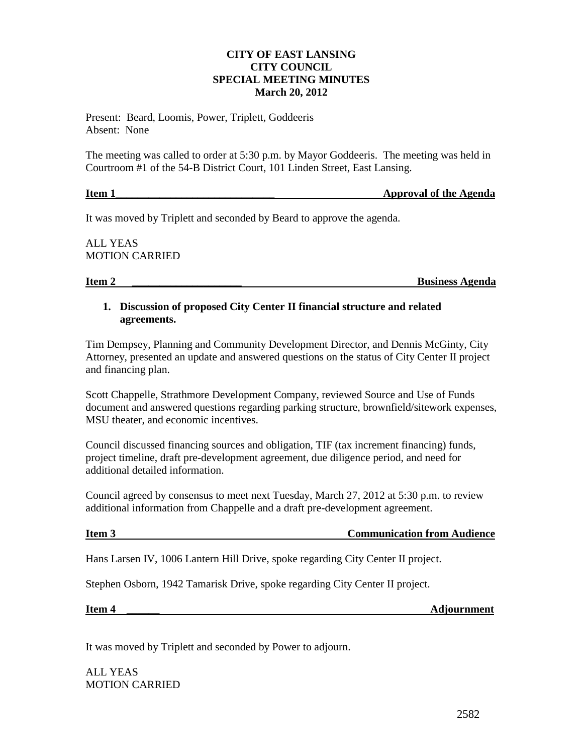## **CITY OF EAST LANSING CITY COUNCIL SPECIAL MEETING MINUTES March 20, 2012**

Present: Beard, Loomis, Power, Triplett, Goddeeris Absent: None

The meeting was called to order at 5:30 p.m. by Mayor Goddeeris. The meeting was held in Courtroom #1 of the 54-B District Court, 101 Linden Street, East Lansing.

| Item 1 | <b>Approval of the Agenda</b> |
|--------|-------------------------------|
|        |                               |

It was moved by Triplett and seconded by Beard to approve the agenda.

ALL YEAS MOTION CARRIED

**Item 2 Business Agenda** 

## **1. Discussion of proposed City Center II financial structure and related agreements.**

Tim Dempsey, Planning and Community Development Director, and Dennis McGinty, City Attorney, presented an update and answered questions on the status of City Center II project and financing plan.

Scott Chappelle, Strathmore Development Company, reviewed Source and Use of Funds document and answered questions regarding parking structure, brownfield/sitework expenses, MSU theater, and economic incentives.

Council discussed financing sources and obligation, TIF (tax increment financing) funds, project timeline, draft pre-development agreement, due diligence period, and need for additional detailed information.

Council agreed by consensus to meet next Tuesday, March 27, 2012 at 5:30 p.m. to review additional information from Chappelle and a draft pre-development agreement.

**Item 3** Communication from Audience

Hans Larsen IV, 1006 Lantern Hill Drive, spoke regarding City Center II project.

Stephen Osborn, 1942 Tamarisk Drive, spoke regarding City Center II project.

**Item 4** and **Adjournment** *Adjournment* 

It was moved by Triplett and seconded by Power to adjourn.

ALL YEAS MOTION CARRIED